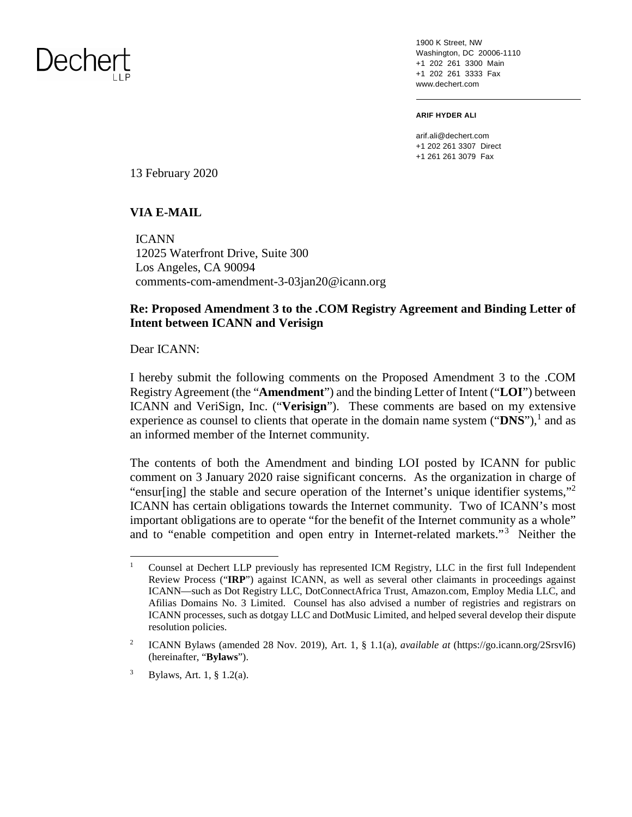1900 K Street, NW Washington, DC 20006-1110 +1 202 261 3300 Main +1 202 261 3333 Fax www.dechert.com

**ARIF HYDER ALI** 

arif.ali@dechert.com +1 202 261 3307 Direct +1 261 261 3079 Fax

13 February 2020

### **VIA E-MAIL**

ICANN 12025 Waterfront Drive, Suite 300 Los Angeles, CA 90094 comments-com-amendment-3-03jan20@icann.org

### **Re: Proposed Amendment 3 to the .COM Registry Agreement and Binding Letter of Intent between ICANN and Verisign**

Dear ICANN:

I hereby submit the following comments on the Proposed Amendment 3 to the .COM Registry Agreement (the "**Amendment**") and the binding Letter of Intent ("**LOI**") between ICANN and VeriSign, Inc. ("**Verisign**"). These comments are based on my extensive experience as counsel to clients that operate in the domain name system  $("DNS")$ , and as an informed member of the Internet community.

The contents of both the Amendment and binding LOI posted by ICANN for public comment on 3 January 2020 raise significant concerns. As the organization in charge of "ensur[ing] the stable and secure operation of the Internet's unique identifier systems,"<sup>2</sup> ICANN has certain obligations towards the Internet community. Two of ICANN's most important obligations are to operate "for the benefit of the Internet community as a whole" and to "enable competition and open entry in Internet-related markets."<sup>3</sup> Neither the

<sup>1</sup> Counsel at Dechert LLP previously has represented ICM Registry, LLC in the first full Independent Review Process ("**IRP**") against ICANN, as well as several other claimants in proceedings against ICANN—such as Dot Registry LLC, DotConnectAfrica Trust, Amazon.com, Employ Media LLC, and Afilias Domains No. 3 Limited. Counsel has also advised a number of registries and registrars on ICANN processes, such as dotgay LLC and DotMusic Limited, and helped several develop their dispute resolution policies.

<sup>2</sup> ICANN Bylaws (amended 28 Nov. 2019), Art. 1, § 1.1(a), *available at* (https://go.icann.org/2SrsvI6) (hereinafter, "**Bylaws**").

<sup>3</sup> Bylaws, Art. 1, § 1.2(a).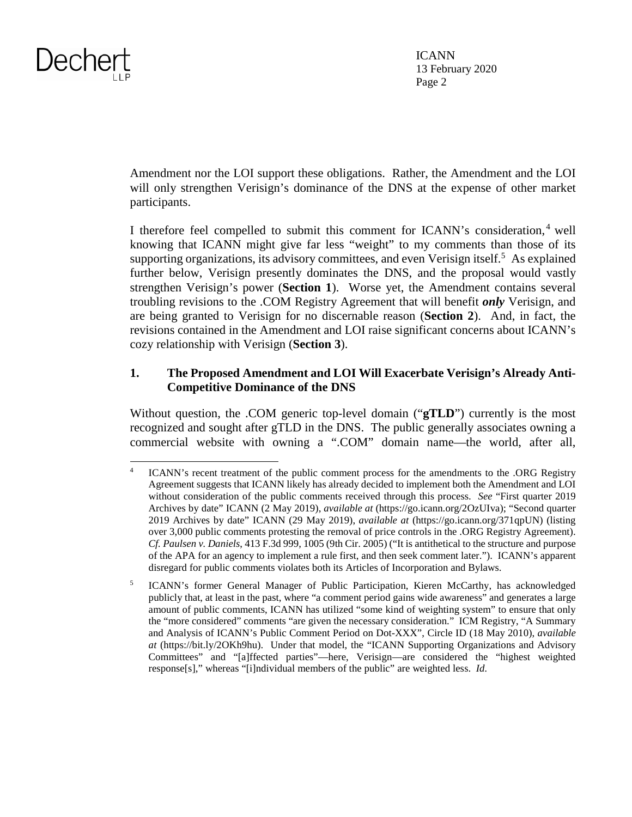ICANN 13 February 2020 Page 2

Amendment nor the LOI support these obligations. Rather, the Amendment and the LOI will only strengthen Verisign's dominance of the DNS at the expense of other market participants.

I therefore feel compelled to submit this comment for ICANN's consideration,<sup>4</sup> well knowing that ICANN might give far less "weight" to my comments than those of its supporting organizations, its advisory committees, and even Verisign itself.<sup>5</sup> As explained further below, Verisign presently dominates the DNS, and the proposal would vastly strengthen Verisign's power (**Section 1**). Worse yet, the Amendment contains several troubling revisions to the .COM Registry Agreement that will benefit *only* Verisign, and are being granted to Verisign for no discernable reason (**Section 2**). And, in fact, the revisions contained in the Amendment and LOI raise significant concerns about ICANN's cozy relationship with Verisign (**Section 3**).

### **1. The Proposed Amendment and LOI Will Exacerbate Verisign's Already Anti-Competitive Dominance of the DNS**

Without question, the .COM generic top-level domain ("**gTLD**") currently is the most recognized and sought after gTLD in the DNS. The public generally associates owning a commercial website with owning a ".COM" domain name—the world, after all,

<sup>4</sup> ICANN's recent treatment of the public comment process for the amendments to the .ORG Registry Agreement suggests that ICANN likely has already decided to implement both the Amendment and LOI without consideration of the public comments received through this process. *See* "First quarter 2019 Archives by date" ICANN (2 May 2019), *available at* (https://go.icann.org/2OzUIva); "Second quarter 2019 Archives by date" ICANN (29 May 2019), *available at* (https://go.icann.org/371qpUN) (listing over 3,000 public comments protesting the removal of price controls in the .ORG Registry Agreement). *Cf. Paulsen v. Daniels*, 413 F.3d 999, 1005 (9th Cir. 2005) ("It is antithetical to the structure and purpose of the APA for an agency to implement a rule first, and then seek comment later."). ICANN's apparent disregard for public comments violates both its Articles of Incorporation and Bylaws.

<sup>5</sup> ICANN's former General Manager of Public Participation, Kieren McCarthy, has acknowledged publicly that, at least in the past, where "a comment period gains wide awareness" and generates a large amount of public comments, ICANN has utilized "some kind of weighting system" to ensure that only the "more considered" comments "are given the necessary consideration." ICM Registry, "A Summary and Analysis of ICANN's Public Comment Period on Dot-XXX", Circle ID (18 May 2010), *available at* (https://bit.ly/2OKh9hu). Under that model, the "ICANN Supporting Organizations and Advisory Committees" and "[a]ffected parties"—here, Verisign—are considered the "highest weighted response[s]," whereas "[i]ndividual members of the public" are weighted less. *Id.*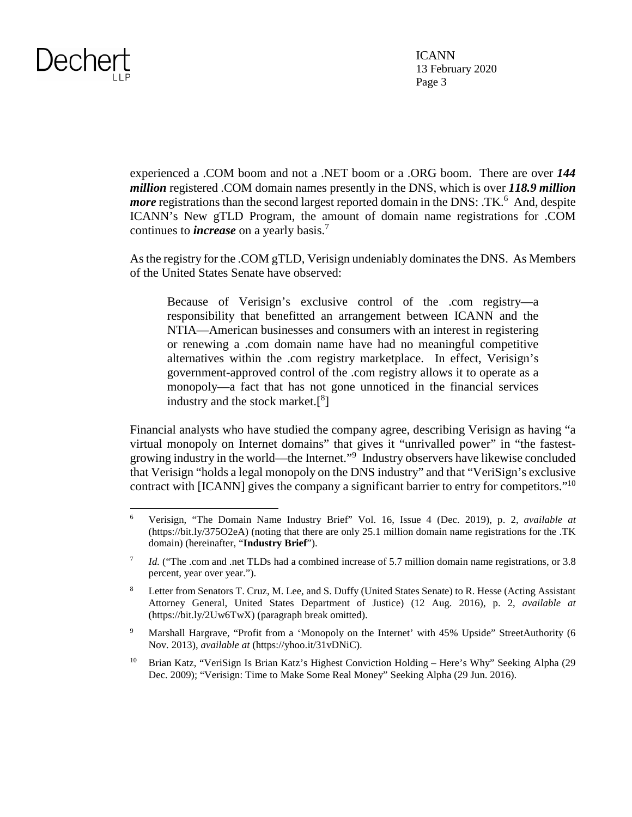ICANN 13 February 2020 Page 3

experienced a .COM boom and not a .NET boom or a .ORG boom. There are over *144 million* registered .COM domain names presently in the DNS, which is over *118.9 million more* registrations than the second largest reported domain in the DNS: .TK.<sup>6</sup> And, despite ICANN's New gTLD Program, the amount of domain name registrations for .COM continues to *increase* on a yearly basis.<sup>7</sup>

As the registry for the .COM gTLD, Verisign undeniably dominates the DNS. As Members of the United States Senate have observed:

Because of Verisign's exclusive control of the .com registry—a responsibility that benefitted an arrangement between ICANN and the NTIA—American businesses and consumers with an interest in registering or renewing a .com domain name have had no meaningful competitive alternatives within the .com registry marketplace. In effect, Verisign's government-approved control of the .com registry allows it to operate as a monopoly—a fact that has not gone unnoticed in the financial services industry and the stock market. $[{}^{8}]$ 

Financial analysts who have studied the company agree, describing Verisign as having "a virtual monopoly on Internet domains" that gives it "unrivalled power" in "the fastestgrowing industry in the world—the Internet."<sup>9</sup> Industry observers have likewise concluded that Verisign "holds a legal monopoly on the DNS industry" and that "VeriSign's exclusive contract with [ICANN] gives the company a significant barrier to entry for competitors." $10$ 

<sup>6</sup> Verisign, "The Domain Name Industry Brief" Vol. 16, Issue 4 (Dec. 2019), p. 2, *available at* (https://bit.ly/375O2eA) (noting that there are only 25.1 million domain name registrations for the .TK domain) (hereinafter, "**Industry Brief**").

<sup>7</sup> *Id.* ("The .com and .net TLDs had a combined increase of 5.7 million domain name registrations, or 3.8 percent, year over year.").

<sup>8</sup> Letter from Senators T. Cruz, M. Lee, and S. Duffy (United States Senate) to R. Hesse (Acting Assistant Attorney General, United States Department of Justice) (12 Aug. 2016), p. 2, *available at*  (https://bit.ly/2Uw6TwX) (paragraph break omitted).

<sup>9</sup> Marshall Hargrave, "Profit from a 'Monopoly on the Internet' with 45% Upside" StreetAuthority (6 Nov. 2013), *available at* (https://yhoo.it/31vDNiC).

<sup>&</sup>lt;sup>10</sup> Brian Katz, "VeriSign Is Brian Katz's Highest Conviction Holding – Here's Why" Seeking Alpha (29 Dec. 2009); "Verisign: Time to Make Some Real Money" Seeking Alpha (29 Jun. 2016).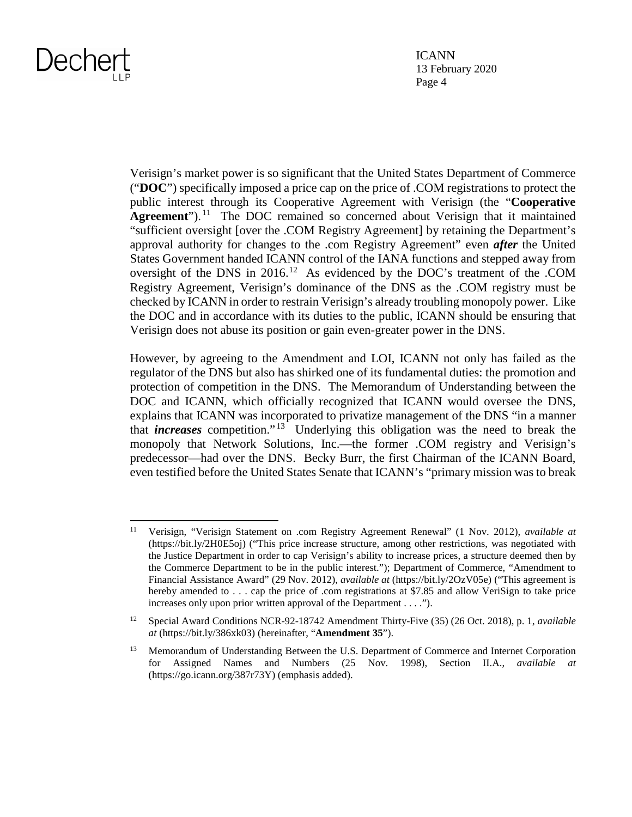ICANN 13 February 2020 Page 4

Verisign's market power is so significant that the United States Department of Commerce ("**DOC**") specifically imposed a price cap on the price of .COM registrations to protect the public interest through its Cooperative Agreement with Verisign (the "**Cooperative**  Agreement").<sup>11</sup> The DOC remained so concerned about Verisign that it maintained "sufficient oversight [over the .COM Registry Agreement] by retaining the Department's approval authority for changes to the .com Registry Agreement" even *after* the United States Government handed ICANN control of the IANA functions and stepped away from oversight of the DNS in 2016.<sup>12</sup> As evidenced by the DOC's treatment of the .COM Registry Agreement, Verisign's dominance of the DNS as the .COM registry must be checked by ICANN in order to restrain Verisign's already troubling monopoly power. Like the DOC and in accordance with its duties to the public, ICANN should be ensuring that Verisign does not abuse its position or gain even-greater power in the DNS.

However, by agreeing to the Amendment and LOI, ICANN not only has failed as the regulator of the DNS but also has shirked one of its fundamental duties: the promotion and protection of competition in the DNS. The Memorandum of Understanding between the DOC and ICANN, which officially recognized that ICANN would oversee the DNS, explains that ICANN was incorporated to privatize management of the DNS "in a manner that *increases* competition." <sup>13</sup> Underlying this obligation was the need to break the monopoly that Network Solutions, Inc.—the former .COM registry and Verisign's predecessor—had over the DNS. Becky Burr, the first Chairman of the ICANN Board, even testified before the United States Senate that ICANN's "primary mission was to break

<sup>11</sup> Verisign, "Verisign Statement on .com Registry Agreement Renewal" (1 Nov. 2012), *available at* (https://bit.ly/2H0E5oj) ("This price increase structure, among other restrictions, was negotiated with the Justice Department in order to cap Verisign's ability to increase prices, a structure deemed then by the Commerce Department to be in the public interest."); Department of Commerce, "Amendment to Financial Assistance Award" (29 Nov. 2012), *available at* (https://bit.ly/2OzV05e) ("This agreement is hereby amended to . . . cap the price of .com registrations at \$7.85 and allow VeriSign to take price increases only upon prior written approval of the Department . . . .").

<sup>12</sup> Special Award Conditions NCR-92-18742 Amendment Thirty-Five (35) (26 Oct. 2018), p. 1, *available at* (https://bit.ly/386xk03) (hereinafter, "**Amendment 35**").

<sup>&</sup>lt;sup>13</sup> Memorandum of Understanding Between the U.S. Department of Commerce and Internet Corporation for Assigned Names and Numbers (25 Nov. 1998), Section II.A., *available at* (https://go.icann.org/387r73Y) (emphasis added).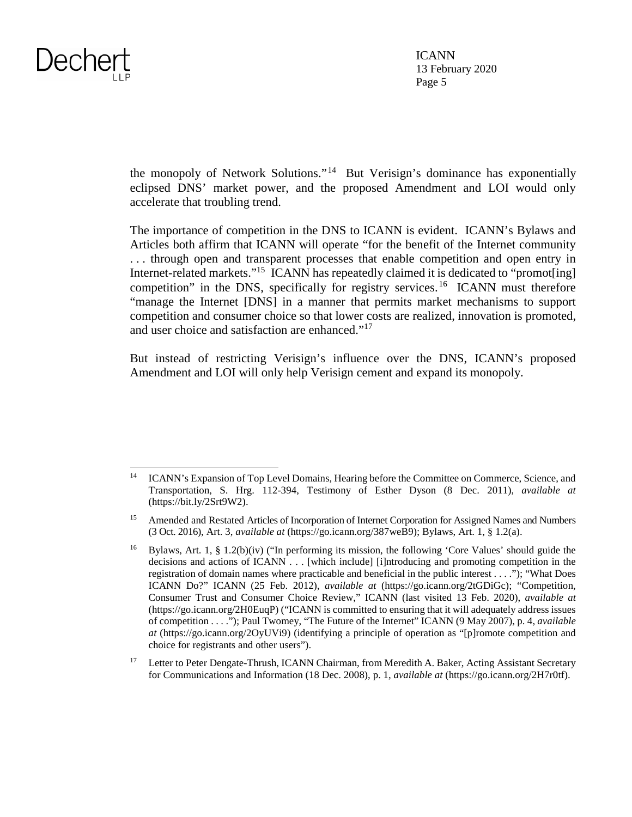

the monopoly of Network Solutions."<sup>14</sup> But Verisign's dominance has exponentially eclipsed DNS' market power, and the proposed Amendment and LOI would only accelerate that troubling trend.

The importance of competition in the DNS to ICANN is evident. ICANN's Bylaws and Articles both affirm that ICANN will operate "for the benefit of the Internet community . . . through open and transparent processes that enable competition and open entry in Internet-related markets."<sup>15</sup> ICANN has repeatedly claimed it is dedicated to "promot[ing] competition" in the DNS, specifically for registry services.<sup>16</sup> ICANN must therefore "manage the Internet [DNS] in a manner that permits market mechanisms to support competition and consumer choice so that lower costs are realized, innovation is promoted, and user choice and satisfaction are enhanced."<sup>17</sup>

But instead of restricting Verisign's influence over the DNS, ICANN's proposed Amendment and LOI will only help Verisign cement and expand its monopoly.

<sup>17</sup> Letter to Peter Dengate-Thrush, ICANN Chairman, from Meredith A. Baker, Acting Assistant Secretary for Communications and Information (18 Dec. 2008), p. 1, *available at* (https://go.icann.org/2H7r0tf).

<sup>&</sup>lt;sup>14</sup> ICANN's Expansion of Top Level Domains, Hearing before the Committee on Commerce, Science, and Transportation, S. Hrg. 112-394, Testimony of Esther Dyson (8 Dec. 2011), *available at*  (https://bit.ly/2Srt9W2).

<sup>&</sup>lt;sup>15</sup> Amended and Restated Articles of Incorporation of Internet Corporation for Assigned Names and Numbers (3 Oct. 2016), Art. 3, *available at* (https://go.icann.org/387weB9); Bylaws, Art. 1, § 1.2(a).

<sup>&</sup>lt;sup>16</sup> Bylaws, Art. 1, § 1.2(b)(iv) ("In performing its mission, the following 'Core Values' should guide the decisions and actions of ICANN . . . [which include] [i]ntroducing and promoting competition in the registration of domain names where practicable and beneficial in the public interest . . . ."); "What Does ICANN Do?" ICANN (25 Feb. 2012), *available at* (https://go.icann.org/2tGDiGc); "Competition, Consumer Trust and Consumer Choice Review," ICANN (last visited 13 Feb. 2020), *available at* (https://go.icann.org/2H0EuqP) ("ICANN is committed to ensuring that it will adequately address issues of competition . . . ."); Paul Twomey, "The Future of the Internet" ICANN (9 May 2007), p. 4, *available at* (https://go.icann.org/2OyUVi9) (identifying a principle of operation as "[p]romote competition and choice for registrants and other users").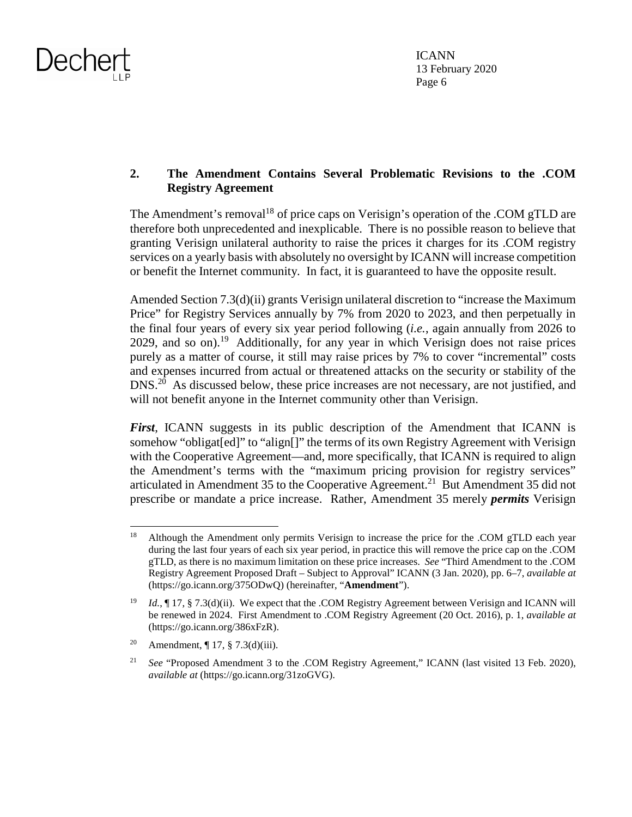

### **2. The Amendment Contains Several Problematic Revisions to the .COM Registry Agreement**

The Amendment's removal<sup>18</sup> of price caps on Verisign's operation of the .COM gTLD are therefore both unprecedented and inexplicable. There is no possible reason to believe that granting Verisign unilateral authority to raise the prices it charges for its .COM registry services on a yearly basis with absolutely no oversight by ICANN will increase competition or benefit the Internet community. In fact, it is guaranteed to have the opposite result.

Amended Section 7.3(d)(ii) grants Verisign unilateral discretion to "increase the Maximum Price" for Registry Services annually by 7% from 2020 to 2023, and then perpetually in the final four years of every six year period following (*i.e.*, again annually from 2026 to 2029, and so on).<sup>19</sup> Additionally, for any year in which Verisign does not raise prices purely as a matter of course, it still may raise prices by 7% to cover "incremental" costs and expenses incurred from actual or threatened attacks on the security or stability of the  $DNS<sup>20</sup>$  As discussed below, these price increases are not necessary, are not justified, and will not benefit anyone in the Internet community other than Verisign.

*First*, ICANN suggests in its public description of the Amendment that ICANN is somehow "obligat[ed]" to "align[]" the terms of its own Registry Agreement with Verisign with the Cooperative Agreement—and, more specifically, that ICANN is required to align the Amendment's terms with the "maximum pricing provision for registry services" articulated in Amendment 35 to the Cooperative Agreement.<sup>21</sup> But Amendment 35 did not prescribe or mandate a price increase. Rather, Amendment 35 merely *permits* Verisign

<sup>&</sup>lt;sup>18</sup> Although the Amendment only permits Verisign to increase the price for the .COM gTLD each year during the last four years of each six year period, in practice this will remove the price cap on the .COM gTLD, as there is no maximum limitation on these price increases. *See* "Third Amendment to the .COM Registry Agreement Proposed Draft – Subject to Approval" ICANN (3 Jan. 2020), pp. 6–7, *available at*  (https://go.icann.org/375ODwQ) (hereinafter, "**Amendment**").

<sup>&</sup>lt;sup>19</sup> *Id.*, ¶ 17, § 7.3(d)(ii). We expect that the .COM Registry Agreement between Verisign and ICANN will be renewed in 2024. First Amendment to .COM Registry Agreement (20 Oct. 2016), p. 1, *available at*  (https://go.icann.org/386xFzR).

<sup>&</sup>lt;sup>20</sup> Amendment,  $\P$  17,  $\S$  7.3(d)(iii).

<sup>&</sup>lt;sup>21</sup> *See* "Proposed Amendment 3 to the .COM Registry Agreement," ICANN (last visited 13 Feb. 2020), *available at* (https://go.icann.org/31zoGVG).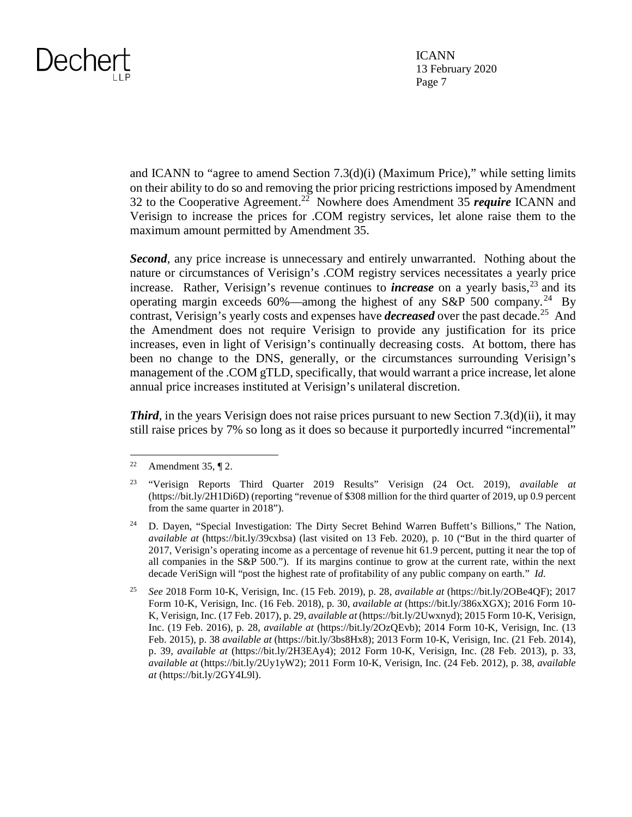ICANN 13 February 2020 Page 7

and ICANN to "agree to amend Section 7.3(d)(i) (Maximum Price)," while setting limits on their ability to do so and removing the prior pricing restrictions imposed by Amendment 32 to the Cooperative Agreement.<sup>22</sup> Nowhere does Amendment 35 *require* ICANN and Verisign to increase the prices for .COM registry services, let alone raise them to the maximum amount permitted by Amendment 35.

*Second*, any price increase is unnecessary and entirely unwarranted. Nothing about the nature or circumstances of Verisign's .COM registry services necessitates a yearly price increase. Rather, Verisign's revenue continues to *increase* on a yearly basis,<sup>23</sup> and its operating margin exceeds  $60\%$ —among the highest of any S&P 500 company.<sup>24</sup> By contrast, Verisign's yearly costs and expenses have *decreased* over the past decade.<sup>25</sup> And the Amendment does not require Verisign to provide any justification for its price increases, even in light of Verisign's continually decreasing costs. At bottom, there has been no change to the DNS, generally, or the circumstances surrounding Verisign's management of the .COM gTLD, specifically, that would warrant a price increase, let alone annual price increases instituted at Verisign's unilateral discretion.

*Third*, in the years Verisign does not raise prices pursuant to new Section 7.3(d)(ii), it may still raise prices by 7% so long as it does so because it purportedly incurred "incremental"

<sup>&</sup>lt;sup>22</sup> Amendment 35, ¶ 2.

<sup>23</sup> "Verisign Reports Third Quarter 2019 Results" Verisign (24 Oct. 2019), *available at* (https://bit.ly/2H1Di6D) (reporting "revenue of \$308 million for the third quarter of 2019, up 0.9 percent from the same quarter in 2018").

<sup>&</sup>lt;sup>24</sup> D. Dayen, "Special Investigation: The Dirty Secret Behind Warren Buffett's Billions," The Nation, *available at* (https://bit.ly/39cxbsa) (last visited on 13 Feb. 2020), p. 10 ("But in the third quarter of 2017, Verisign's operating income as a percentage of revenue hit 61.9 percent, putting it near the top of all companies in the S&P 500."). If its margins continue to grow at the current rate, within the next decade VeriSign will "post the highest rate of profitability of any public company on earth." *Id.*

<sup>25</sup> *See* 2018 Form 10-K, Verisign, Inc. (15 Feb. 2019), p. 28, *available at* (https://bit.ly/2OBe4QF); 2017 Form 10-K, Verisign, Inc. (16 Feb. 2018), p. 30, *available at* (https://bit.ly/386xXGX); 2016 Form 10- K, Verisign, Inc. (17 Feb. 2017), p. 29, *available at* (https://bit.ly/2Uwxnyd); 2015 Form 10-K, Verisign, Inc. (19 Feb. 2016), p. 28, *available at* (https://bit.ly/2OzQEvb); 2014 Form 10-K, Verisign, Inc. (13 Feb. 2015), p. 38 *available at* (https://bit.ly/3bs8Hx8); 2013 Form 10-K, Verisign, Inc. (21 Feb. 2014), p. 39, *available at* (https://bit.ly/2H3EAy4); 2012 Form 10-K, Verisign, Inc. (28 Feb. 2013), p. 33, *available at* (https://bit.ly/2Uy1yW2); 2011 Form 10-K, Verisign, Inc. (24 Feb. 2012), p. 38, *available at* (https://bit.ly/2GY4L9l).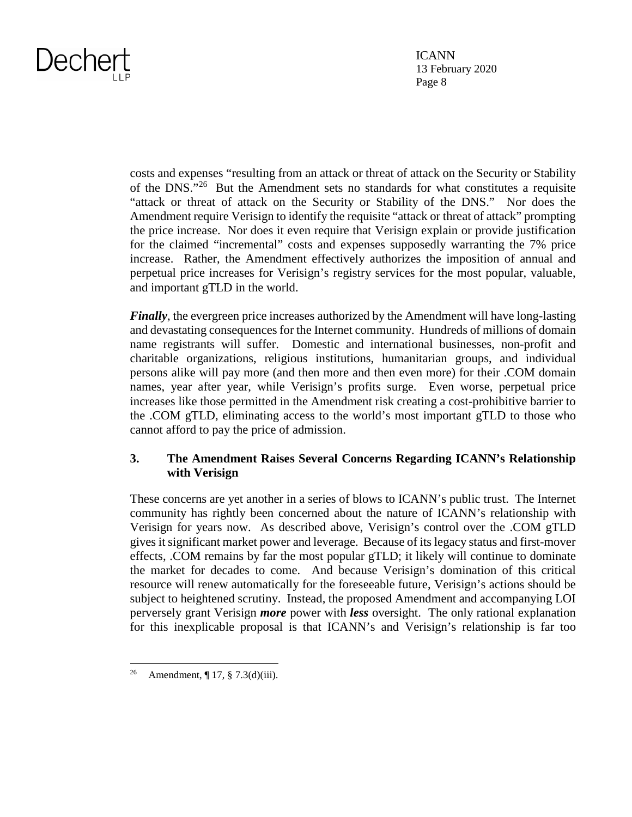ICANN 13 February 2020 Page 8

costs and expenses "resulting from an attack or threat of attack on the Security or Stability of the DNS."<sup>26</sup> But the Amendment sets no standards for what constitutes a requisite "attack or threat of attack on the Security or Stability of the DNS." Nor does the Amendment require Verisign to identify the requisite "attack or threat of attack" prompting the price increase. Nor does it even require that Verisign explain or provide justification for the claimed "incremental" costs and expenses supposedly warranting the 7% price increase. Rather, the Amendment effectively authorizes the imposition of annual and perpetual price increases for Verisign's registry services for the most popular, valuable, and important gTLD in the world.

*Finally*, the evergreen price increases authorized by the Amendment will have long-lasting and devastating consequences for the Internet community. Hundreds of millions of domain name registrants will suffer. Domestic and international businesses, non-profit and charitable organizations, religious institutions, humanitarian groups, and individual persons alike will pay more (and then more and then even more) for their .COM domain names, year after year, while Verisign's profits surge. Even worse, perpetual price increases like those permitted in the Amendment risk creating a cost-prohibitive barrier to the .COM gTLD, eliminating access to the world's most important gTLD to those who cannot afford to pay the price of admission.

### **3. The Amendment Raises Several Concerns Regarding ICANN's Relationship with Verisign**

These concerns are yet another in a series of blows to ICANN's public trust. The Internet community has rightly been concerned about the nature of ICANN's relationship with Verisign for years now. As described above, Verisign's control over the .COM gTLD gives it significant market power and leverage. Because of its legacy status and first-mover effects, .COM remains by far the most popular gTLD; it likely will continue to dominate the market for decades to come. And because Verisign's domination of this critical resource will renew automatically for the foreseeable future, Verisign's actions should be subject to heightened scrutiny. Instead, the proposed Amendment and accompanying LOI perversely grant Verisign *more* power with *less* oversight. The only rational explanation for this inexplicable proposal is that ICANN's and Verisign's relationship is far too

Amendment, ¶ 17, § 7.3(d)(iii).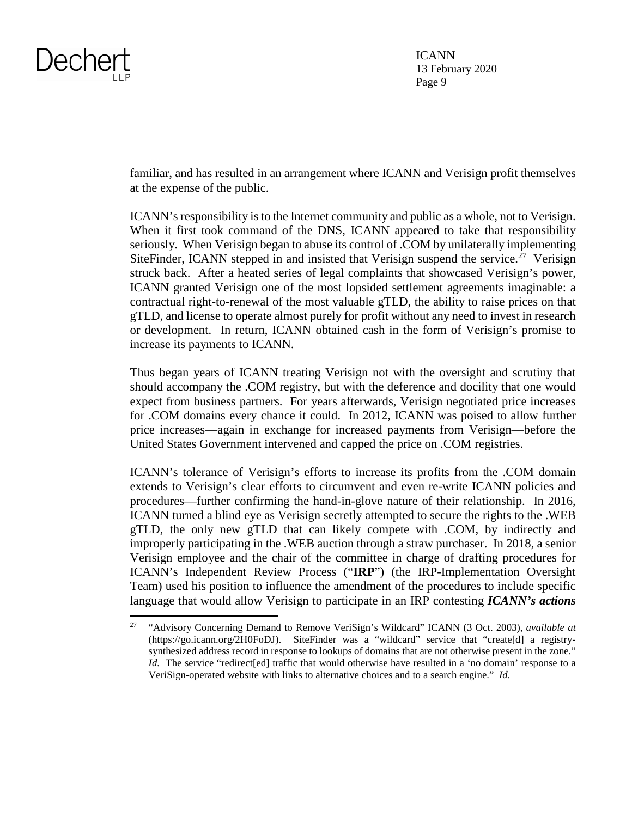

ICANN 13 February 2020 Page 9

familiar, and has resulted in an arrangement where ICANN and Verisign profit themselves at the expense of the public.

ICANN's responsibility is to the Internet community and public as a whole, not to Verisign. When it first took command of the DNS, ICANN appeared to take that responsibility seriously. When Verisign began to abuse its control of .COM by unilaterally implementing SiteFinder, ICANN stepped in and insisted that Verisign suspend the service.<sup> $27$ </sup> Verisign struck back. After a heated series of legal complaints that showcased Verisign's power, ICANN granted Verisign one of the most lopsided settlement agreements imaginable: a contractual right-to-renewal of the most valuable gTLD, the ability to raise prices on that gTLD, and license to operate almost purely for profit without any need to invest in research or development. In return, ICANN obtained cash in the form of Verisign's promise to increase its payments to ICANN.

Thus began years of ICANN treating Verisign not with the oversight and scrutiny that should accompany the .COM registry, but with the deference and docility that one would expect from business partners. For years afterwards, Verisign negotiated price increases for .COM domains every chance it could. In 2012, ICANN was poised to allow further price increases—again in exchange for increased payments from Verisign—before the United States Government intervened and capped the price on .COM registries.

ICANN's tolerance of Verisign's efforts to increase its profits from the .COM domain extends to Verisign's clear efforts to circumvent and even re-write ICANN policies and procedures—further confirming the hand-in-glove nature of their relationship. In 2016, ICANN turned a blind eye as Verisign secretly attempted to secure the rights to the .WEB gTLD, the only new gTLD that can likely compete with .COM, by indirectly and improperly participating in the .WEB auction through a straw purchaser. In 2018, a senior Verisign employee and the chair of the committee in charge of drafting procedures for ICANN's Independent Review Process ("**IRP**") (the IRP-Implementation Oversight Team) used his position to influence the amendment of the procedures to include specific language that would allow Verisign to participate in an IRP contesting *ICANN's actions*

<sup>27</sup> "Advisory Concerning Demand to Remove VeriSign's Wildcard" ICANN (3 Oct. 2003), *available at* (https://go.icann.org/2H0FoDJ). SiteFinder was a "wildcard" service that "create[d] a registrysynthesized address record in response to lookups of domains that are not otherwise present in the zone." *Id.* The service "redirect [ed] traffic that would otherwise have resulted in a 'no domain' response to a VeriSign-operated website with links to alternative choices and to a search engine." *Id.*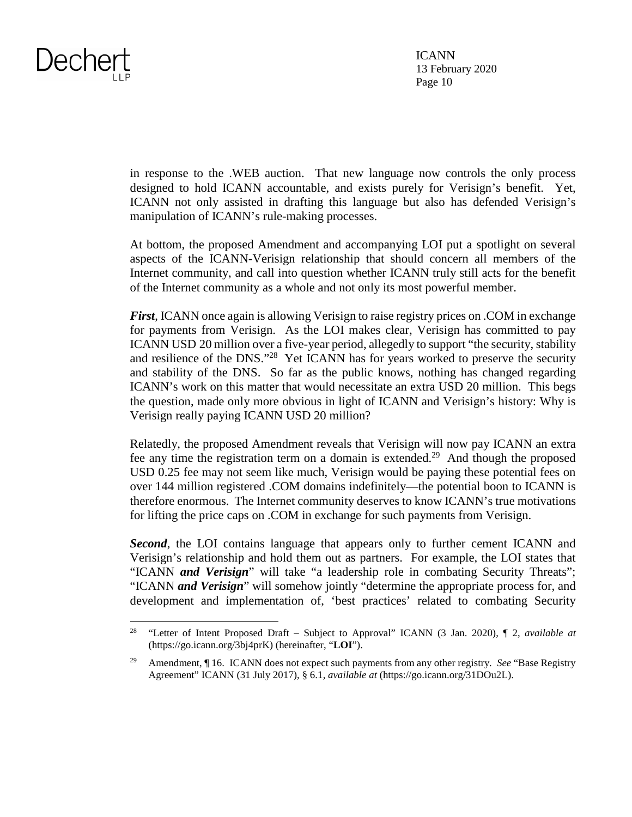ICANN 13 February 2020 Page 10

in response to the .WEB auction. That new language now controls the only process designed to hold ICANN accountable, and exists purely for Verisign's benefit. Yet, ICANN not only assisted in drafting this language but also has defended Verisign's manipulation of ICANN's rule-making processes.

At bottom, the proposed Amendment and accompanying LOI put a spotlight on several aspects of the ICANN-Verisign relationship that should concern all members of the Internet community, and call into question whether ICANN truly still acts for the benefit of the Internet community as a whole and not only its most powerful member.

*First*, ICANN once again is allowing Verisign to raise registry prices on .COM in exchange for payments from Verisign. As the LOI makes clear, Verisign has committed to pay ICANN USD 20 million over a five-year period, allegedly to support "the security, stability and resilience of the DNS."<sup>28</sup> Yet ICANN has for years worked to preserve the security and stability of the DNS. So far as the public knows, nothing has changed regarding ICANN's work on this matter that would necessitate an extra USD 20 million. This begs the question, made only more obvious in light of ICANN and Verisign's history: Why is Verisign really paying ICANN USD 20 million?

Relatedly, the proposed Amendment reveals that Verisign will now pay ICANN an extra fee any time the registration term on a domain is extended.<sup>29</sup> And though the proposed USD 0.25 fee may not seem like much, Verisign would be paying these potential fees on over 144 million registered .COM domains indefinitely—the potential boon to ICANN is therefore enormous. The Internet community deserves to know ICANN's true motivations for lifting the price caps on .COM in exchange for such payments from Verisign.

*Second*, the LOI contains language that appears only to further cement ICANN and Verisign's relationship and hold them out as partners. For example, the LOI states that "ICANN *and Verisign*" will take "a leadership role in combating Security Threats"; "ICANN *and Verisign*" will somehow jointly "determine the appropriate process for, and development and implementation of, 'best practices' related to combating Security

<sup>28</sup> "Letter of Intent Proposed Draft – Subject to Approval" ICANN (3 Jan. 2020), ¶ 2, *available at*  (https://go.icann.org/3bj4prK) (hereinafter, "**LOI**").

<sup>29</sup> Amendment, ¶ 16. ICANN does not expect such payments from any other registry. *See* "Base Registry Agreement" ICANN (31 July 2017), § 6.1, *available at* (https://go.icann.org/31DOu2L).